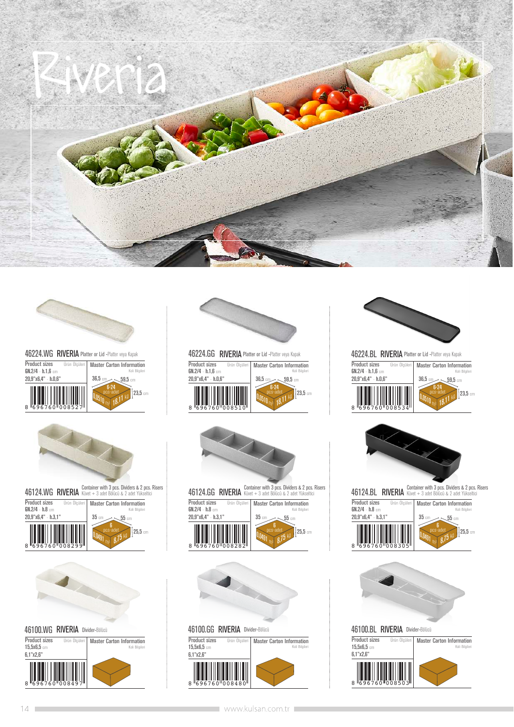







| laster Carton Information                             | <b>Product sizes</b><br>Ürün Ölcüleri            | <b>Master Carton Information</b>              |
|-------------------------------------------------------|--------------------------------------------------|-----------------------------------------------|
| Koli Bilgileri<br>$36.5\,$ cm,<br>$\sim$ 59.5 cm $\,$ | $GN.2/4 - h.1.6$ cm<br>$20.9"$ x6.4" - h. $0.6"$ | Koli Bilgileri<br>$36.5$ cm<br>$\sim$ 59.5 cm |
| $23.5$ cm                                             | 8 696760 008510                                  | $23.5$ cm<br>pcs-ade                          |





46100.GG RIVERIA Divider-Bölücü

Product sizes Ürün Ölçüleri | Master Carton Information  $15,5x6,5$  cm 6,1"x2,6"

**THEFT** 8 596760 008480



**Product sizes** Ürün Ölçüle **Master Carton Information**<br>Koli Bilgileri 36,5 cm  $\overline{1}23.5$  cm  $59,5$  cm GN.2/4 - h.1,6 cm 20,9"x6,4" - h.0,6" RIVERIA Platter or Lid -Platter veya Kapak **RIVERIA** Platter or Lid -Platter veya Kapak 8 696760 008534  $0,0510$  m<sup>3</sup> 18,11 kg 6-24 pcs-adet



46124.BL RIVERIA Küvet + 3 adet Bölücü & 2 adet Yükseltici Container with 3 pcs. Dividers & 2 pcs. Risers





46100.BL RIVERIA Divider-Bölücü